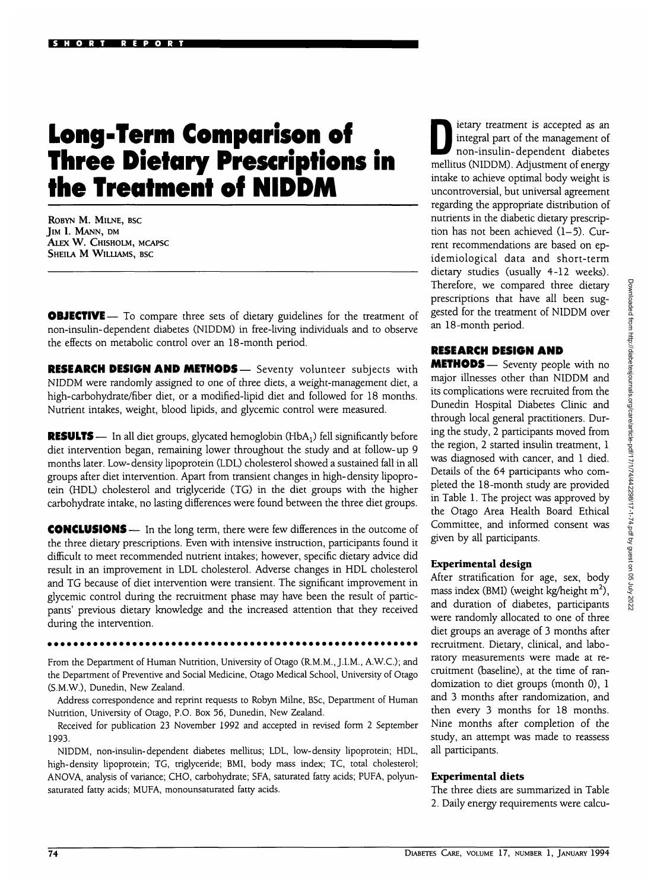# **Long-Term Comparison of Three Dietary Prescriptions in the Treatment of NIDDM**

**ROBYN M. MILNE, BSC JIM I. MANN, DM ALEX W. CHISHOLM, MCAPSC SHEILA M WILLIAMS, BSC**

**OBJECTIVE** — To compare three sets of dietary guidelines for the treatment of non-insulin-dependent diabetes (NIDDM) in free-living individuals and to observe the effects on metabolic control over an 18-month period.

**RESEARCH DESIGN AND METHODS—** Seventy volunteer subjects with NIDDM were randomly assigned to one of three diets, a weight-management diet, a high-carbohydrate/fiber diet, or a modified-lipid diet and followed for 18 months. Nutrient intakes, weight, blood lipids, and glycemic control were measured.

**RESULTS** — In all diet groups, glycated hemoglobin  $(HbA_1)$  fell significantly before diet intervention began, remaining lower throughout the study and at follow-up 9 months later. Low-density lipoprotein (LDL) cholesterol showed a sustained fall in all groups after diet intervention. Apart from transient changes in high-density lipoprotein (HDL) cholesterol and triglyceride (TG) in the diet groups with the higher carbohydrate intake, no lasting differences were found between the three diet groups.

**CONCLUSIONS**— In the long term, there were few differences in the outcome of the three dietary prescriptions. Even with intensive instruction, participants found it difficult to meet recommended nutrient intakes; however, specific dietary advice did result in an improvement in LDL cholesterol. Adverse changes in HDL cholesterol and TG because of diet intervention were transient. The significant improvement in glycemic control during the recruitment phase may have been the result of particpants' previous dietary knowledge and the increased attention that they received during the intervention.

From the Department of Human Nutrition, University of Otago (R.M.M., J.I.M., A.W.C.); and the Department of Preventive and Social Medicine, Otago Medical School, University of Otago (S.M.W.), Dunedin, New Zealand.

Address correspondence and reprint requests to Robyn Milne, BSc, Department of Human Nutrition, University of Otago, P.O. Box 56, Dunedin, New Zealand.

Received for publication 23 November 1992 and accepted in revised form 2 September 1993.

NIDDM, non-insulin-dependent diabetes mellitus; LDL, low-density lipoprotein; HDL, high-density lipoprotein; TG, triglyceride; BMI, body mass index; TC, total cholesterol; ANOVA, analysis of variance; CHO, carbohydrate; SFA, saturated fatty acids; PUFA, polyunsaturated fatty acids; MUFA, monounsaturated fatty acids.

Integral part of the management of<br>
non-insulin-dependent diabetes integral part of the management of non-insulin-dependent diabetes mellitus (NIDDM). Adjustment of energy intake to achieve optimal body weight is uncontroversial, but universal agreement regarding the appropriate distribution of nutrients in the diabetic dietary prescription has not been achieved  $(1-5)$ . Current recommendations are based on epidemiological data and short-term dietary studies (usually 4-12 weeks). Therefore, we compared three dietary prescriptions that have all been suggested for the treatment of NIDDM over an 18-month period.

# **RESEARCH DESIGN AND**

**METHODS**— Seventy people with no major illnesses other than NIDDM and its complications were recruited from the Dunedin Hospital Diabetes Clinic and through local general practitioners. During the study, 2 participants moved from the region, 2 started insulin treatment, 1 was diagnosed with cancer, and 1 died. Details of the 64 participants who completed the 18-month study are provided in Table 1. The project was approved by the Otago Area Health Board Ethical Committee, and informed consent was given by all participants.

#### **Experimental design**

After stratification for age, sex, body mass index (BMI) (weight kg/height  $m^2$ ), and duration of diabetes, participants were randomly allocated to one of three diet groups an average of 3 months after recruitment. Dietary, clinical, and laboratory measurements were made at recruitment (baseline), at the time of randomization to diet groups (month 0), 1 and 3 months after randomization, and then every 3 months for 18 months. Nine months after completion of the study, an attempt was made to reassess all participants.

#### **Experimental diets**

The three diets are summarized in Table 2. Daily energy requirements were calcu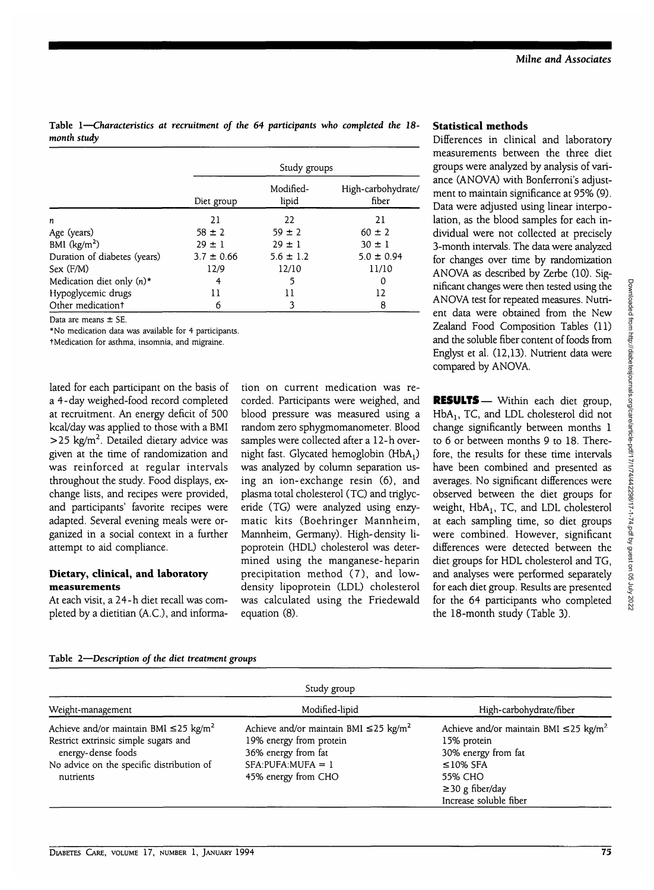**Table 1—***Characteristics at recruitment of the 64 participants who completed the 18 month study*

|                                         |                | Study groups       |                             |
|-----------------------------------------|----------------|--------------------|-----------------------------|
|                                         | Diet group     | Modified-<br>lipid | High-carbohydrate/<br>fiber |
| n                                       | 21             | 22                 | 21                          |
| Age (years)                             | $58 \pm 2$     | $59 \pm 2$         | $60 \pm 2$                  |
| BMI $(kg/m2)$                           | $29 \pm 1$     | $29 \pm 1$         | $30 \pm 1$                  |
| Duration of diabetes (years)            | $3.7 \pm 0.66$ | $5.6 \pm 1.2$      | $5.0 \pm 0.94$              |
| Sex (F/M)                               | 12/9           | 12/10              | 11/10                       |
| Medication diet only $(n)$ <sup>*</sup> | 4              | 5                  | 0                           |
| Hypoglycemic drugs                      | 11             | 11                 | 12                          |
| Other medication <sup>†</sup>           | 6              |                    | 8                           |

Data are means ± SE.

\*No medication data was available for 4 participants.

tMedication for asthma, insomnia, and migraine.

lated for each participant on the basis of a 4-day weighed-food record completed at recruitment. An energy deficit of 500 kcal/day was applied to those with a BMI  $>$  25 kg/m<sup>2</sup>. Detailed dietary advice was given at the time of randomization and was reinforced at regular intervals throughout the study. Food displays, exchange lists, and recipes were provided, and participants' favorite recipes were adapted. Several evening meals were organized in a social context in a further attempt to aid compliance.

#### **Dietary, clinical, and laboratory measurements**

At each visit, a 24-h diet recall was completed by a dietitian (A.C.), and informa-

tion on current medication was recorded. Participants were weighed, and blood pressure was measured using a random zero sphygmomanometer. Blood samples were collected after a 12-h overnight fast. Glycated hemoglobin  $(HbA_1)$ was analyzed by column separation using an ion-exchange resin (6), and plasma total cholesterol (TC) and triglyceride (TG) were analyzed using enzymatic kits (Boehringer Mannheim, Mannheim, Germany). High-density lipoprotein (HDL) cholesterol was determined using the manganese- heparin precipitation method (7), and lowdensity lipoprotein (LDL) cholesterol was calculated using the Friedewald equation (8).

### **Statistical methods**

Differences in clinical and laboratory measurements between the three diet groups were analyzed by analysis of variance (ANOVA) with Bonferroni's adjustment to maintain significance at 95% (9). Data were adjusted using linear interpolation, as the blood samples for each individual were not collected at precisely 3-month intervals. The data were analyzed for changes over time by randomization ANOVA as described by Zerbe (10). Significant changes were then tested using the ANOVA test for repeated measures. Nutrient data were obtained from the New Zealand Food Composition Tables (11) and the soluble fiber content of foods from Englyst et al. (12,13). Nutrient data were compared by ANOVA.

**RESULTS**— Within each diet group, HbA<sub>1</sub>, TC, and LDL cholesterol did not change significantly between months 1 to 6 or between months 9 to 18. Therefore, the results for these time intervals have been combined and presented as averages. No significant differences were observed between the diet groups for weight,  $HbA_1$ , TC, and LDL cholesterol at each sampling time, so diet groups were combined. However, significant differences were detected between the diet groups for HDL cholesterol and TG, and analyses were performed separately for each diet group. Results are presented for the 64 participants who completed the 18-month study (Table 3).

**Table 2**—*Description of the diet treatment groups*

| Study group                                                                                                                                                                     |                                                                                                                                                         |                                                                                                                                                                               |  |  |
|---------------------------------------------------------------------------------------------------------------------------------------------------------------------------------|---------------------------------------------------------------------------------------------------------------------------------------------------------|-------------------------------------------------------------------------------------------------------------------------------------------------------------------------------|--|--|
| Weight-management                                                                                                                                                               | Modified-lipid                                                                                                                                          | High-carbohydrate/fiber                                                                                                                                                       |  |  |
| Achieve and/or maintain BMI $\leq$ 25 kg/m <sup>2</sup><br>Restrict extrinsic simple sugars and<br>energy-dense foods<br>No advice on the specific distribution of<br>nutrients | Achieve and/or maintain BMI $\leq$ 25 kg/m <sup>2</sup><br>19% energy from protein<br>36% energy from fat<br>$SFA:PUFA:MUFA = 1$<br>45% energy from CHO | Achieve and/or maintain BMI $\leq$ 25 kg/m <sup>2</sup><br>15% protein<br>30% energy from fat<br>$\leq$ 10% SFA<br>55% CHO<br>$\geq$ 30 g fiber/day<br>Increase soluble fiber |  |  |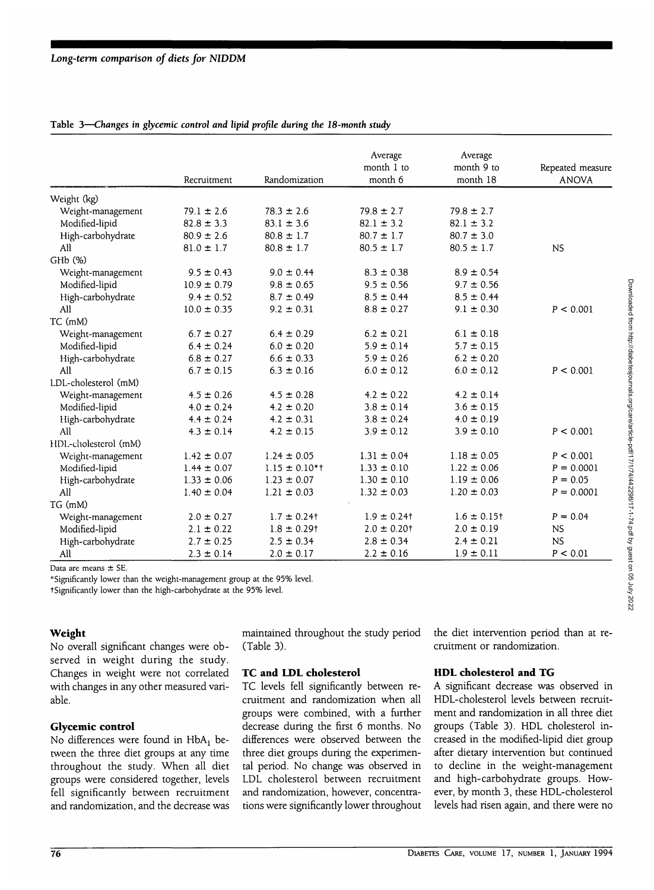|                      | Recruitment     | Randomization      | Average<br>month 1 to<br>month 6 | Average<br>month 9 to<br>month 18 | Repeated measure<br><b>ANOVA</b> |
|----------------------|-----------------|--------------------|----------------------------------|-----------------------------------|----------------------------------|
|                      |                 |                    |                                  |                                   |                                  |
| Weight (kg)          |                 |                    |                                  |                                   |                                  |
| Weight-management    | $79.1 \pm 2.6$  | $78.3 \pm 2.6$     | $79.8 \pm 2.7$                   | $79.8 \pm 2.7$                    |                                  |
| Modified-lipid       | $82.8 \pm 3.3$  | $83.1 \pm 3.6$     | $82.1 \pm 3.2$                   | $82.1 \pm 3.2$                    |                                  |
| High-carbohydrate    | $80.9 \pm 2.6$  | $80.8 \pm 1.7$     | $80.7 \pm 1.7$                   | $80.7 \pm 3.0$                    |                                  |
| All                  | $81.0 \pm 1.7$  | $80.8 \pm 1.7$     | $80.5 \pm 1.7$                   | $80.5 \pm 1.7$                    | <b>NS</b>                        |
| GH <sub>b</sub> (%)  |                 |                    |                                  |                                   |                                  |
| Weight-management    | $9.5 \pm 0.43$  | $9.0 \pm 0.44$     | $8.3 \pm 0.38$                   | $8.9 \pm 0.54$                    |                                  |
| Modified-lipid       | $10.9 \pm 0.79$ | $9.8 \pm 0.65$     | $9.5 \pm 0.56$                   | $9.7 \pm 0.56$                    |                                  |
| High-carbohydrate    | $9.4 \pm 0.52$  | $8.7 \pm 0.49$     | $8.5 \pm 0.44$                   | $8.5 \pm 0.44$                    |                                  |
| All                  | $10.0 \pm 0.35$ | $9.2 \pm 0.31$     | $8.8 \pm 0.27$                   | $9.1 \pm 0.30$                    | P < 0.001                        |
| TC (mM)              |                 |                    |                                  |                                   |                                  |
| Weight-management    | $6.7 \pm 0.27$  | $6.4 \pm 0.29$     | $6.2 \pm 0.21$                   | $6.1 \pm 0.18$                    |                                  |
| Modified-lipid       | $6.4 \pm 0.24$  | $6.0 \pm 0.20$     | $5.9 \pm 0.14$                   | $5.7 \pm 0.15$                    |                                  |
| High-carbohydrate    | $6.8 \pm 0.27$  | $6.6 \pm 0.33$     | $5.9 \pm 0.26$                   | $6.2 \pm 0.20$                    |                                  |
| All                  | $6.7 \pm 0.15$  | $6.3 \pm 0.16$     | $6.0 \pm 0.12$                   | $6.0 \pm 0.12$                    | P < 0.001                        |
| LDL-cholesterol (mM) |                 |                    |                                  |                                   |                                  |
| Weight-management    | $4.5 \pm 0.26$  | $4.5 \pm 0.28$     | $4.2 \pm 0.22$                   | $4.2 \pm 0.14$                    |                                  |
| Modified-lipid       | $4.0 \pm 0.24$  | $4.2 \pm 0.20$     | $3.8 \pm 0.14$                   | $3.6 \pm 0.15$                    |                                  |
| High-carbohydrate    | $4.4 \pm 0.24$  | $4.2 \pm 0.31$     | $3.8 \pm 0.24$                   | $4.0 \pm 0.19$                    |                                  |
| All                  | $4.3 \pm 0.14$  | $4.2 \pm 0.15$     | $3.9 \pm 0.12$                   | $3.9 \pm 0.10$                    | P < 0.001                        |
| HDL-cholesterol (mM) |                 |                    |                                  |                                   |                                  |
| Weight-management    | $1.42 \pm 0.07$ | $1.24 \pm 0.05$    | $1.31 \pm 0.04$                  | $1.18 \pm 0.05$                   | P < 0.001                        |
| Modified-lipid       | $1.44 \pm 0.07$ | $1.15 \pm 0.10$ *t | $1.33 \pm 0.10$                  | $1.22 \pm 0.06$                   | $P = 0.0001$                     |
| High-carbohydrate    | $1.33 \pm 0.06$ | $1.23 \pm 0.07$    | $1.30 \pm 0.10$                  | $1.19 \pm 0.06$                   | $P = 0.05$                       |
| All                  | $1.40 \pm 0.04$ | $1.21 \pm 0.03$    | $1.32 \pm 0.03$                  | $1.20 \pm 0.03$                   | $P = 0.0001$                     |
| TG (mM)              |                 |                    |                                  |                                   |                                  |
| Weight-management    | $2.0 \pm 0.27$  | $1.7 \pm 0.24$ t   | $1.9 \pm 0.24$ t                 | $1.6 \pm 0.15$ †                  | $P = 0.04$                       |
| Modified-lipid       | $2.1 \pm 0.22$  | $1.8 \pm 0.29$ t   | $2.0 \pm 0.20$ t                 | $2.0 \pm 0.19$                    | <b>NS</b>                        |
| High-carbohydrate    | $2.7 \pm 0.25$  | $2.5 \pm 0.34$     | $2.8 \pm 0.34$                   | $2.4 \pm 0.21$                    | <b>NS</b>                        |
| All                  | $2.3 \pm 0.14$  | $2.0 \pm 0.17$     | $2.2 \pm 0.16$                   | $1.9 \pm 0.11$                    | P < 0.01                         |

**Table 3—***Changes in glycemic control and lipid profile during the 18-month study*

Data are means  $\pm$  SE.

'"Significantly lower than the weight-management group at the 95% level.

tSignificantly lower than the high-carbohydrate at the 95% level.

#### **Weight**

No overall significant changes were observed in weight during the study. Changes in weight were not correlated with changes in any other measured variable.

#### **Glycemic control**

No differences were found in HbA: between the three diet groups at any time throughout the study. When all diet groups were considered together, levels fell significantly between recruitment and randomization, and the decrease was maintained throughout the study period (Table 3).

#### **TC and LDL cholesterol**

TC levels fell significantly between recruitment and randomization when all groups were combined, with a further decrease during the first 6 months. No differences were observed between the three diet groups during the experimental period. No change was observed in LDL cholesterol between recruitment and randomization, however, concentrations were significantly lower throughout the diet intervention period than at recruitment or randomization.

# **HDL cholesterol and TG**

A significant decrease was observed in HDL-cholesterol levels between recruitment and randomization in all three diet groups (Table 3). HDL cholesterol increased in the modified-lipid diet group after dietary intervention but continued to decline in the weight-management and high-carbohydrate groups. However, by month 3, these HDL-cholesterol levels had risen again, and there were no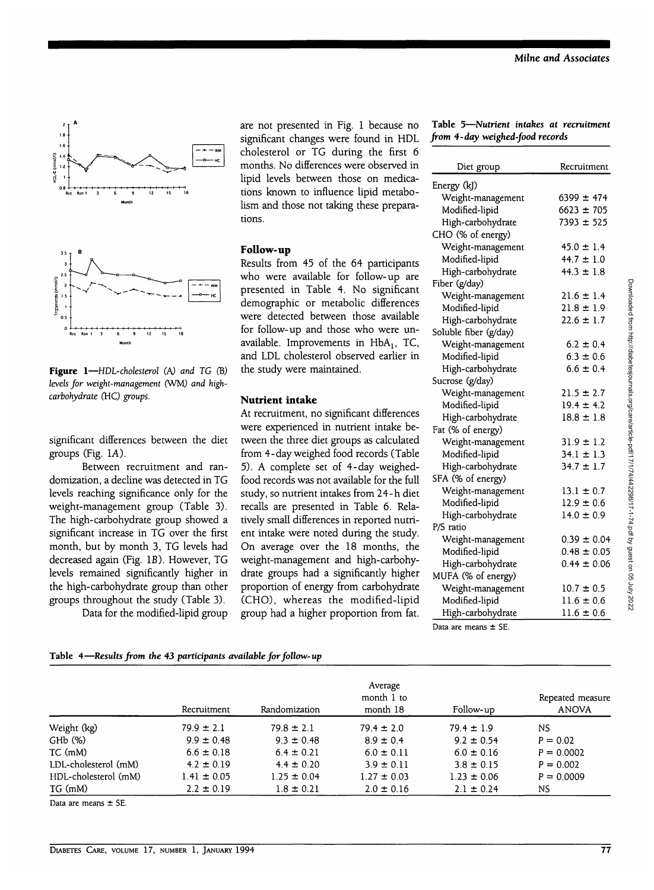

**Figure 1—***HDL-cholesterol* (A) *and TG* (B) *levels for weight-management* (WM) *and highcarbohydrate* (HC) *groups.*

significant differences between the diet groups (Fig. 1A).

Between recruitment and randomization, a decline was detected in TG levels reaching significance only for the weight-management group (Table 3). The high-carbohydrate group showed a significant increase in TG over the first month, but by month 3, TG levels had decreased again (Fig. IB). However, TG levels remained significantly higher in the high-carbohydrate group than other groups throughout the study (Table 3).

Data for the modified-lipid group

are not presented in Fig. 1 because no significant changes were found in HDL cholesterol or TG during the first 6 months. No differences were observed in lipid levels between those on medications known to influence lipid metabolism and those not taking these preparations.

#### **Follow-up**

Results from 45 of the 64 participants who were available for follow-up are presented in Table 4. No significant demographic or metabolic differences were detected between those available for follow-up and those who were unavailable. Improvements in  $HbA_1$ , TC, and LDL cholesterol observed earlier in the study were maintained.

#### **Nutrient intake**

At recruitment, no significant differences were experienced in nutrient intake between the three diet groups as calculated from 4-day weighed food records (Table 5). A complete set of 4-day weighedfood records was not available for the full study, so nutrient intakes from 24-h diet recalls are presented in Table 6. Relatively small differences in reported nutrient intake were noted during the study. On average over the 18 months, the weight-management and high-carbohydrate groups had a significantly higher proportion of energy from carbohydrate (CHO), whereas the modified-lipid group had a higher proportion from fat.

|  |                                 | Table 5-Nutrient intakes at recruitment |
|--|---------------------------------|-----------------------------------------|
|  | from 4-day weighed-food records |                                         |

| Diet group                     | Recruitment     |
|--------------------------------|-----------------|
| Energy (kJ)                    |                 |
| Weight-management              | $6399 \pm 474$  |
| Modified-lipid                 | $6623 \pm 705$  |
| High-carbohydrate              | $7393 \pm 525$  |
| CHO (% of energy)              |                 |
| Weight-management              | $45.0 \pm 1.4$  |
| Modified-lipid                 | $44.7 \pm 1.0$  |
| High-carbohydrate              | $44.3 \pm 1.8$  |
| Fiber (g/day)                  |                 |
| Weight-management              | $21.6 \pm 1.4$  |
| Modified-lipid                 | $21.8 \pm 1.9$  |
| High-carbohydrate              | $22.6 \pm 1.7$  |
| Soluble fiber (g/day)          |                 |
| Weight-management              | $6.2 \pm 0.4$   |
| Modified-lipid                 | $6.3 \pm 0.6$   |
| High-carbohydrate              | $6.6 \pm 0.4$   |
| Sucrose (g/day)                |                 |
| Weight-management              | $21.5 \pm 2.7$  |
| Modified-lipid                 | $19.4 \pm 4.2$  |
| High-carbohydrate              | $18.8 \pm 1.8$  |
| Fat (% of energy)              |                 |
| Weight-management              | $31.9 \pm 1.2$  |
| Modified-lipid                 | $34.1 \pm 1.3$  |
| High-carbohydrate              | $34.7 \pm 1.7$  |
| SFA (% of energy)              |                 |
| Weight-management              | $13.1 \pm 0.7$  |
| Modified-lipid                 | $12.9 \pm 0.6$  |
| High-carbohydrate              | $14.0 \pm 0.9$  |
| P/S ratio                      |                 |
| Weight-management              | $0.39 \pm 0.04$ |
| Modified-lipid                 | $0.48 \pm 0.05$ |
| High-carbohydrate              | $0.44 \pm 0.06$ |
| MUFA (% of energy)             |                 |
| Weight-management              | $10.7 \pm 0.5$  |
| Modified-lipid                 | $11.6 \pm 0.6$  |
| High-carbohydrate              | $11.6 \pm 0.6$  |
| Data are means $+$ $\text{CF}$ |                 |

Data are means ± SE.

| Table 4—Results from the 43 participants available for follow-up |  |  |  |  |
|------------------------------------------------------------------|--|--|--|--|
|------------------------------------------------------------------|--|--|--|--|

|                      | Recruitment     | Randomization   | Average<br>month 1 to<br>month 18 | Follow-up       | Repeated measure<br>ANOVA |
|----------------------|-----------------|-----------------|-----------------------------------|-----------------|---------------------------|
| Weight (kg)          | $79.9 \pm 2.1$  | $79.8 \pm 2.1$  | $79.4 \pm 2.0$                    | $79.4 \pm 1.9$  | NS.                       |
| GHb (%)              | $9.9 \pm 0.48$  | $9.3 \pm 0.48$  | $8.9 \pm 0.4$                     | $9.2 \pm 0.54$  | $P = 0.02$                |
| $TC$ (mM)            | $6.6 \pm 0.18$  | $6.4 \pm 0.21$  | $6.0 \pm 0.11$                    | $6.0 \pm 0.16$  | $P = 0.0002$              |
| LDL-cholesterol (mM) | $4.2 \pm 0.19$  | $4.4 \pm 0.20$  | $3.9 \pm 0.11$                    | $3.8 \pm 0.15$  | $P = 0.002$               |
| HDL-cholesterol (mM) | $1.41 \pm 0.05$ | $1.25 \pm 0.04$ | $1.27 \pm 0.03$                   | $1.23 \pm 0.06$ | $P = 0.0009$              |
| TG (mM)              | $2.2 \pm 0.19$  | $1.8 \pm 0.21$  | $2.0 \pm 0.16$                    | $2.1 \pm 0.24$  | NS                        |

Data are means ± SE.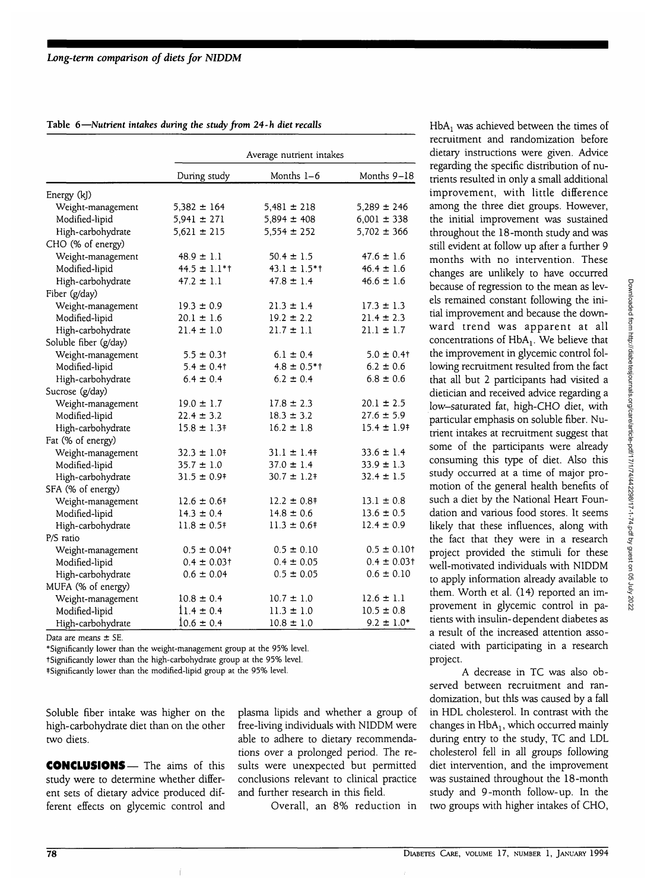|  | Table 6-Nutrient intakes during the study from 24-h diet recalls |  |  |  |  |  |  |
|--|------------------------------------------------------------------|--|--|--|--|--|--|
|--|------------------------------------------------------------------|--|--|--|--|--|--|

|                       | Average nutrient intakes |                          |                  |  |  |
|-----------------------|--------------------------|--------------------------|------------------|--|--|
|                       | During study             | Months 1–6               | Months 9-18      |  |  |
| Energy (kJ)           |                          |                          |                  |  |  |
| Weight-management     | $5,382 \pm 164$          | $5,481 \pm 218$          | $5,289 \pm 246$  |  |  |
| Modified-lipid        | $5,941 \pm 271$          | $5,894 \pm 408$          | $6,001 \pm 338$  |  |  |
| High-carbohydrate     | $5,621 \pm 215$          | $5,554 \pm 252$          | $5,702 \pm 366$  |  |  |
| CHO (% of energy)     |                          |                          |                  |  |  |
| Weight-management     | $48.9 \pm 1.1$           | $50.4 \pm 1.5$           | $47.6 \pm 1.6$   |  |  |
| Modified-lipid        | $44.5 \pm 1.1**$         | $43.1 \pm 1.5**$         | $46.4 \pm 1.6$   |  |  |
| High-carbohydrate     | $47.2 \pm 1.1$           | $47.8 \pm 1.4$           | $46.6 \pm 1.6$   |  |  |
| Fiber (g/day)         |                          |                          |                  |  |  |
| Weight-management     | $19.3 \pm 0.9$           | $21.3 \pm 1.4$           | $17.3 \pm 1.3$   |  |  |
| Modified-lipid        | $20.1 \pm 1.6$           | $19.2 \pm 2.2$           | $21.4 \pm 2.3$   |  |  |
| High-carbohydrate     | $21.4 \pm 1.0$           | $21.7 \pm 1.1$           | $21.1 \pm 1.7$   |  |  |
| Soluble fiber (g/day) |                          |                          |                  |  |  |
| Weight-management     | $5.5 \pm 0.3$ †          | $6.1 \pm 0.4$            | $5.0 \pm 0.4$ †  |  |  |
| Modified-lipid        | $5.4 \pm 0.41$           | $4.8 \pm 0.5$ *†         | $6.2 \pm 0.6$    |  |  |
| High-carbohydrate     | $6.4 \pm 0.4$            | $6.2 \pm 0.4$            | $6.8 \pm 0.6$    |  |  |
| Sucrose (g/day)       |                          |                          |                  |  |  |
| Weight-management     | $19.0 \pm 1.7$           | $17.8 \pm 2.3$           | $20.1 \pm 2.5$   |  |  |
| Modified-lipid        | $22.4 \pm 3.2$           | $18.3 \pm 3.2$           | $27.6 \pm 5.9$   |  |  |
| High-carbohydrate     | $15.8 \pm 1.3$           | $16.2 \pm 1.8$           | $15.4 \pm 1.9$   |  |  |
| Fat (% of energy)     |                          |                          |                  |  |  |
| Weight-management     | $32.3 \pm 1.0$ †         | $31.1 \pm 1.4$           | $33.6 \pm 1.4$   |  |  |
| Modified-lipid        | $35.7 \pm 1.0$           | $37.0 \pm 1.4$           | $33.9 \pm 1.3$   |  |  |
| High-carbohydrate     | $31.5 \pm 0.9$           | $30.7 \pm 1.2$ †         | $32.4 \pm 1.5$   |  |  |
| SFA (% of energy)     |                          |                          |                  |  |  |
| Weight-management     | $12.6 \pm 0.6^{\dagger}$ | $12.2 \pm 0.8^{\dagger}$ | $13.1 \pm 0.8$   |  |  |
| Modified-lipid        | $14.3 \pm 0.4$           | $14.8 \pm 0.6$           | $13.6 \pm 0.5$   |  |  |
| High-carbohydrate     | $11.8 \pm 0.5$           | $11.3 \pm 0.6^{\dagger}$ | $12.4 \pm 0.9$   |  |  |
| P/S ratio             |                          |                          |                  |  |  |
| Weight-management     | $0.5 \pm 0.04$ †         | $0.5 \pm 0.10$           | $0.5 \pm 0.10$ t |  |  |
| Modified-lipid        | $0.4 \pm 0.03$ †         | $0.4 \pm 0.05$           | $0.4 \pm 0.03$ t |  |  |
| High-carbohydrate     | $0.6 \pm 0.04$           | $0.5 \pm 0.05$           | $0.6 \pm 0.10$   |  |  |
| MUFA (% of energy)    |                          |                          |                  |  |  |
| Weight-management     | $10.8 \pm 0.4$           | $10.7 \pm 1.0$           | $12.6 \pm 1.1$   |  |  |
| Modified-lipid        | $11.4 \pm 0.4$           | $11.3 \pm 1.0$           | $10.5 \pm 0.8$   |  |  |
| High-carbohydrate     | $10.6 \pm 0.4$           | $10.8 \pm 1.0$           | $9.2 \pm 1.0*$   |  |  |

Data are means ± SE.

\*Significantly lower than the weight-management group at the 95% level. tSignificantly lower than the high-carbohydrate group at the 95% level.

^Significantly lower than the modified-lipid group at the 95% level.

Soluble fiber intake was higher on the high-carbohydrate diet than on the other two diets.

CONCLUSIONS— The aims of this study were to determine whether different sets of dietary advice produced different effects on glycemic control and plasma lipids and whether a group of free-living individuals with NIDDM were able to adhere to dietary recommendations over a prolonged period. The results were unexpected but permitted conclusions relevant to clinical practice and further research in this field.

Overall, an 8% reduction in

 $HbA<sub>1</sub>$  was achieved between the times of recruitment and randomization before dietary instructions were given. Advice regarding the specific distribution of nutrients resulted in only a small additional improvement, with little difference among the three diet groups. However, the initial improvement was sustained throughout the 18-month study and was still evident at follow up after a further 9 months with no intervention. These changes are unlikely to have occurred because of regression to the mean as levels remained constant following the initial improvement and because the downward trend was apparent at all concentrations of  $HbA<sub>1</sub>$ . We believe that the improvement in glycemic control following recruitment resulted from the fact that all but 2 participants had visited a dietician and received advice regarding a low-saturated fat, high-CHO diet, with particular emphasis on soluble fiber. Nutrient intakes at recruitment suggest that some of the participants were already consuming this type of diet. Also this study occurred at a time of major promotion of the general health benefits of such a diet by the National Heart Foundation and various food stores. It seems likely that these influences, along with the fact that they were in a research project provided the stimuli for these well-motivated individuals with NIDDM to apply information already available to them. Worth et al. (14) reported an improvement in glycemic control in patients with insulin-dependent diabetes as a result of the increased attention associated with participating in a research project.

A decrease in TC was also observed between recruitment and randomization, but this was caused by a fall in HDL cholesterol. In contrast with the changes in  $HbA_1$ , which occurred mainly during entry to the study, TC and LDL cholesterol fell in all groups following diet intervention, and the improvement was sustained throughout the 18-month study and 9-month follow-up. In the two groups with higher intakes of CHO,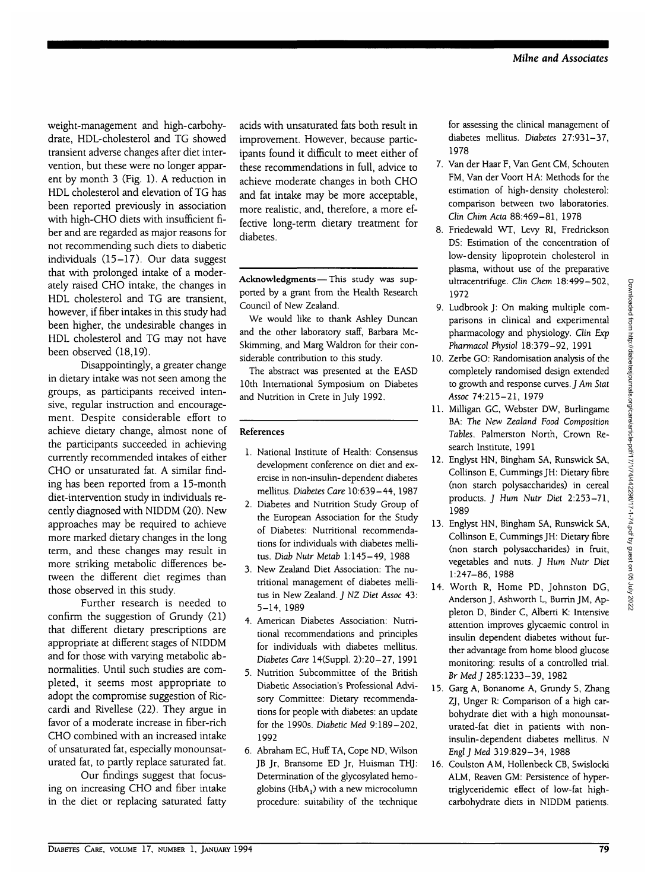weight-management and high-carbohydrate, HDL-cholesterol and TG showed transient adverse changes after diet intervention, but these were no longer apparent by month 3 (Fig. 1). A reduction in HDL cholesterol and elevation of TG has been reported previously in association with high-CHO diets with insufficient fiber and are regarded as major reasons for not recommending such diets to diabetic individuals (15-17). Our data suggest that with prolonged intake of a moderately raised CHO intake, the changes in HDL cholesterol and TG are transient, however, if fiber intakes in this study had been higher, the undesirable changes in HDL cholesterol and TG may not have been observed (18,19).

Disappointingly, a greater change in dietary intake was not seen among the groups, as participants received intensive, regular instruction and encouragement. Despite considerable effort to achieve dietary change, almost none of the participants succeeded in achieving currently recommended intakes of either CHO or unsaturated fat. A similar finding has been reported from a 15-month diet-intervention study in individuals recently diagnosed with N1DDM (20). New approaches may be required to achieve more marked dietary changes in the long term, and these changes may result in more striking metabolic differences between the different diet regimes than those observed in this study.

Further research is needed to confirm the suggestion of Grundy (21) that different dietary prescriptions are appropriate at different stages of NIDDM and for those with varying metabolic abnormalities. Until such studies are completed, it seems most appropriate to adopt the compromise suggestion of Riccardi and Rivellese (22). They argue in favor of a moderate increase in fiber-rich CHO combined with an increased intake of unsaturated fat, especially monounsaturated fat, to partly replace saturated fat.

Our findings suggest that focusing on increasing CHO and fiber intake in the diet or replacing saturated fatty

acids with unsaturated fats both result in improvement. However, because participants found it difficult to meet either of these recommendations in full, advice to achieve moderate changes in both CHO and fat intake may be more acceptable, more realistic, and, therefore, a more effective long-term dietary treatment for diabetes.

**Acknowledgments**—This study was supported by a grant from the Health Research Council of New Zealand.

We would like to thank Ashley Duncan and the other laboratory staff, Barbara Mc-Skimming, and Marg Waldron for their considerable contribution to this study.

The abstract was presented at the EASD 10th International Symposium on Diabetes and Nutrition in Crete in July 1992.

### **References**

- 1. National Institute of Health: Consensus development conference on diet and exercise in non-insulin-dependent diabetes mellitus. *Diabetes Care* 10:639-44,1987
- 2. Diabetes and Nutrition Study Group of the European Association for the Study of Diabetes: Nutritional recommendations for individuals with diabetes mellitus. *Diab Nutr Metab* 1:145-49, 1988
- 3. New Zealand Diet Association: The nutritional management of diabetes mellitus in New Zealand. *J NZ Diet Assoc* 43: 5-14, 1989
- 4. American Diabetes Association: Nutritional recommendations and principles for individuals with diabetes mellitus. *Diabetes Care* 14(Suppl. 2):20-27, 1991
- 5. Nutrition Subcommittee of the British Diabetic Association's Professional Advisory Committee: Dietary recommendations for people with diabetes: an update for the 1990s. *Diabetic Med* 9:189-202, 1992
- 6. Abraham EC, Huff TA, Cope ND, Wilson JB Jr, Bransome ED Jr, Huisman THJ: Determination of the glycosylated hemoglobins ( $HbA_1$ ) with a new microcolumn procedure: suitability of the technique

for assessing the clinical management of diabetes mellitus. *Diabetes* 27:931-37, 1978

- 7. Van der Haar F, Van Gent CM, Schouten FM, Van der Voort HA: Methods for the estimation of high-density cholesterol: comparison between two laboratories. *Clin Chim Ada* 88:469-81, 1978
- 8. Friedewald WT, Levy Rl, Fredrickson DS: Estimation of the concentration of low-density lipoprotein cholesterol in plasma, without use of the preparative ultracentrifuge. *Clin Chem* 18:499-502, 1972
- 9. Ludbrook J: On making multiple comparisons in clinical and experimental pharmacology and physiology. *Clin Exp Pharmacol Physiol* 18:379-92, 1991
- 10. Zerbe GO: Randomisation analysis of the completely randomised design extended to growth and response curves. J *Am Stat Assoc* 74:215-21, 1979
- 11. Milligan GC, Webster DW, Burlingame BA: *The New Zealand Food Composition Tables.* Palmerston North, Crown Research Institute, 1991
- 12. Englyst HN, Bingham SA, Runswick SA, Collinson E, Cummings JH: Dietary fibre (non starch polysaccharides) in cereal products. *J Hum Nutr Diet* 2:253-71, 1989
- 13. Englyst HN, Bingham SA, Runswick SA, Collinson E, Cummings JH: Dietary fibre (non starch polysaccharides) in fruit, vegetables and nuts. *J Hum Nutr Diet* 1:247-86, 1988
- 14. Worth R, Home PD, Johnston DG, Anderson J, Ashworth L, Burrin JM, Appleton D, Binder C, Alberti K: Intensive attention improves glycaemic control in insulin dependent diabetes without further advantage from home blood glucose monitoring: results of a controlled trial. *Br Med J* 285:1233-39, 1982
- 15. Garg A, Bonanome A, Grundy S, Zhang ZJ, Unger R: Comparison of a high carbohydrate diet with a high monounsaturated-fat diet in patients with noninsulin-dependent diabetes mellitus. N *Engl J Med* 319:829-34, 1988
- 16. Coulston AM, Hollenbeck CB, Swislocki ALM, Reaven GM: Persistence of hypertriglyceridemic effect of low-fat highcarbohydrate diets in NIDDM patients.